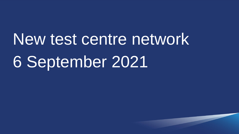New test centre network 6 September 2021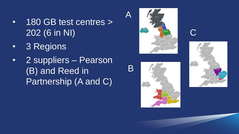- 180 GB test centres > 202 (6 in NI)
- 3 Regions
- 2 suppliers Pearson (B) and Reed in Partnership (A and C)



 $\bm{\mathsf{A}}$ 

 $\mathsf B$ 





C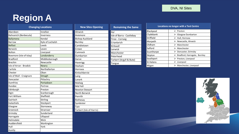## **Region A**

| <b>Changing Locations</b> |                  | <b>New Sites Opening</b> |
|---------------------------|------------------|--------------------------|
| Aberdeen                  | Innellan         | Alnwick                  |
| Balivanich (Benbecula)    | Inverness        | Aviemore                 |
| Ballymena                 | Kendal           | <b>Bishop Auckland</b>   |
| <b>Barrow</b>             | Kyle of Lochalsh | <b>Burnley</b>           |
| <b>Belfast</b>            | Leeds            | Cambletown               |
| <b>Berwick</b>            | Leven            | Crewe                    |
| <b>Bolton</b>             | Liverpool        | Cumnock                  |
| Bowmore (Isle of Islay)   | Londonderry      | Dumbarton                |
| <b>Bradford</b>           | Middlesborough   | Garve                    |
| <b>Brechin</b>            | Newcastle        | Haverigg                 |
| Isle of Arran - Brodick   | <b>Newry</b>     | Hexham                   |
| Carlisle                  | Northallerton    | Hornsea                  |
| Chester                   | Oban             | Kinlochbervie            |
| Isle of Mull - Craignure  | Omagh            | Lairg                    |
| Doncaster                 | Pitlochry        | Lanark                   |
| <b>Dumfries</b>           | Portadown        | Mallaig                  |
| Dundee                    | Portree          | Mid Yell                 |
| Edinburgh                 | Preston          | <b>Newton Stewart</b>    |
| Elgin                     | Scarborough      | North Berwick            |
| Fort William              | Sheffield        | Penrith                  |
| Gairloch                  | Stirling         | Rothesay                 |
| Galashiels                | Stockport        | Symbister                |
| Glasgow                   | Stornoway        | Tain                     |
| Greenock                  | Stranraer        | Tarbert (Isle of Harris) |
| Grimsby                   | Sunderland       |                          |
| Harrogate                 | Ullapool         |                          |
| Helmsdale                 | Wick             |                          |
| Huddersfield              | Workington       |                          |
| Hull                      | York             |                          |
| Huntly                    |                  |                          |

| <b>Remaining the Same</b>                                     |  | <b>Locations</b> |
|---------------------------------------------------------------|--|------------------|
| Ayr                                                           |  | Blackpool        |
| Isle of Barra - Castlebay                                     |  | Clydebank        |
| Tiree - Cornaig<br>Crianlarich                                |  | Driffield        |
|                                                               |  | Morpeth          |
| Kirkwall                                                      |  | Oldham           |
| Lerwick<br>Manchester<br>Peterhead<br>Tarbert (Argyll & Bute) |  | Salford          |
|                                                               |  | Scunthorpe       |
|                                                               |  | Skipton          |
|                                                               |  | Southport        |
| Tongue                                                        |  | <b>St Helens</b> |
|                                                               |  | Wigan            |
|                                                               |  |                  |

| <b>Locations no longer with a Test Centre</b> |                                               |  |  |
|-----------------------------------------------|-----------------------------------------------|--|--|
| Blackpool                                     | Preston<br>⋗                                  |  |  |
| Clydebank                                     | $\triangleright$ Glasgow Dumbarton            |  |  |
| Driffield                                     | $\triangleright$ Hull, Hornsea                |  |  |
| Morpeth                                       | $\triangleright$ Newcastle, Alnwick           |  |  |
| Oldham                                        | $\triangleright$ Manchester                   |  |  |
| Salford                                       | $\triangleright$ Manchester                   |  |  |
| Scunthorpe                                    | $\triangleright$ Doncaster, Grimsby           |  |  |
| Skipton                                       | $\triangleright$ Bradford, Harrogate, Burnley |  |  |
| Southport                                     | $\triangleright$ Preston, Liverpool           |  |  |
| <b>St Helens</b>                              | Liverpool<br>⋗                                |  |  |
| Wigan                                         | $\triangleright$ Manchester, Liverpool        |  |  |

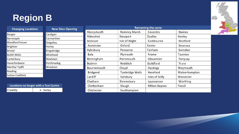## **Region B**

| <b>Changing Locations</b> | <b>New Sites Opening</b> |  |  |
|---------------------------|--------------------------|--|--|
| <b>Bangor</b>             | Cardigan                 |  |  |
| Barnstaple                | Carmarthen               |  |  |
| <b>Blandford Forum</b>    | Dolgellau                |  |  |
| <b>Brighton</b>           | Horley                   |  |  |
| <b>Bristol</b>            | Kingsbridge              |  |  |
| <b>Builth Wells</b>       | Minehead                 |  |  |
| Canterbury                | Newtown                  |  |  |
| Haverfordwest             | Porthmadog               |  |  |
| Merthyr Tydfil            | Wrexham                  |  |  |
| Reading                   |                          |  |  |
| <b>Sutton Coldfield</b>   |                          |  |  |

| Locations no longer with a Test Centre |                         |  |
|----------------------------------------|-------------------------|--|
| Crawley                                | $\triangleright$ Horley |  |

| <b>Remaining the same</b> |                        |                        |                  |
|---------------------------|------------------------|------------------------|------------------|
| Aberystwyth               | <b>Romney Marsh</b>    | Coventry               | <b>Staines</b>   |
| Aldershot                 | Newport                | <b>Dudley</b>          | Hanley           |
| Andover                   | Isle of Wight          | Eastbourne             | <b>Stratford</b> |
| Axminster                 | Oxford                 | Exeter                 | Swansea          |
| Aylesbury                 | Penzance               | Fairham                | Swindon          |
| Bala                      | Plymouth               | Frome                  | <b>Taunton</b>   |
| <b>Birmingham</b>         | Portsmouth             | Gloucester             | <b>Torquay</b>   |
| <b>Bodmin</b>             | <b>Redditch</b>        | Guildford              | <b>Truro</b>     |
| Bournemouth               | Clwyd                  | <b>Hastings</b>        | Weymouth         |
| <b>Bridgend</b>           | <b>Tunbridge Wells</b> | <b>Hereford</b>        | Wolverhampton    |
| Cardiff                   | Salisbury              | <b>Isles of Scilly</b> | Worcester        |
| Chatham                   | Shrewsbury             | Launceston             | Worthing         |
| Cheltenham                | Slough                 | <b>Milton Keynes</b>   | Yeovil           |
| Chichester                | Southampton            |                        |                  |